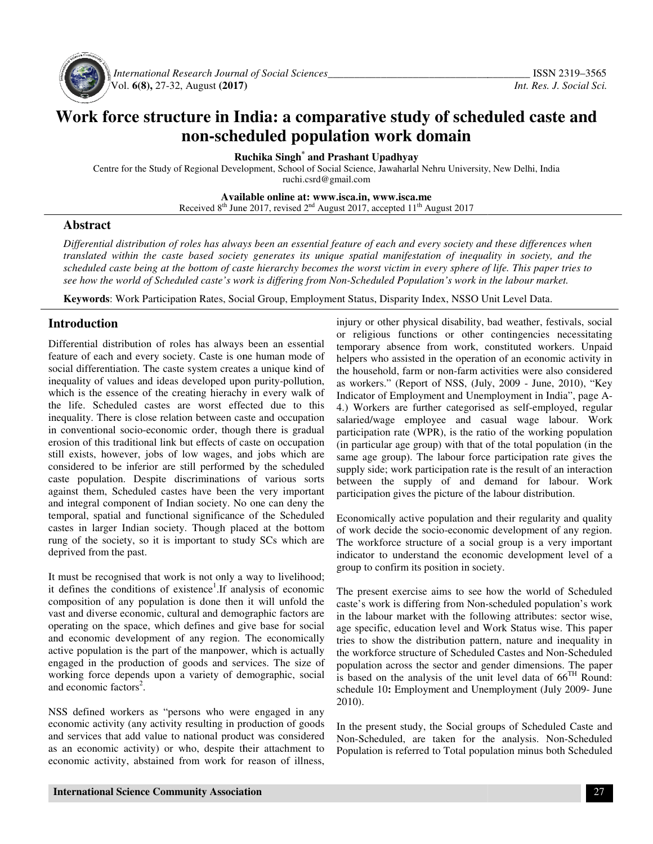

 *International Research Journal Journal of Social Sciences\_\_\_\_\_\_\_\_\_\_\_\_\_\_\_\_\_\_\_\_\_\_\_\_\_\_\_\_\_\_\_\_\_\_\_* Vol. **6(8),** 27-32, August **(2017)** 

# Work force structure in India: a comparative study of scheduled caste and<br>non-scheduled population work domain **non-scheduled population work domain**

**Ruchika Singh \* and Prashant Upadhyay** 

Centre for the Study of Regional Development, School of Social Science, Jawaharlal Nehru University, New Delhi, India<br>ruchi.csrd@gmail.com

**Available Available online at: www.isca.in, www.isca.me** 

Received  $8<sup>th</sup>$  June 2017, revised  $2<sup>nd</sup>$  August 2017, accepted 11<sup>th</sup> August 2017

#### **Abstract**

*Differential distribution of roles has always been an essential feature of each and every society and these differences when translated within the caste based society generates its unique spatial manifestation of inequality in society, and the scheduled caste being at the bottom of caste hierarchy becomes the worst victim in every sphere of life. This paper tries to*  Differential distribution of roles has always been an essential feature of each and every society and these differences when<br>translated within the caste based society generates its unique spatial manifestation of inequalit

**Keywords**: Work Participation Rates, Social Group, Employment Status, Disparity Index, NSSO Unit Level Data.

#### **Introduction**

Differential distribution of roles has always been an essential feature of each and every society. Caste is one human mode of social differentiation. The caste system creates a unique kind of inequality of values and ideas developed upon purity-pollution, which is the essence of the creating hierachy in every walk of the life. Scheduled castes are worst effected due to this inequality. There is close relation between caste and occupation in conventional socio-economic order, though there is gradual erosion of this traditional link but effects of caste on occupation still exists, however, jobs of low wages, and jobs which are considered to be inferior are still performed by the scheduled caste population. Despite discriminations of various sorts against them, Scheduled castes have been the very important and integral component of Indian society. No one can deny the temporal, spatial and functional significance of the Scheduled castes in larger Indian society. Though placed at the bottom rung of the society, so it is important to study SCs which are deprived from the past. **Keywords:** Work Participation Rates, Social Group, Employment Status, Disparity<br> **Introduction** injury or other physical intervalsed purity-or in the purity-political distribution of roles has always been an essential tem ich is the essence of the creating hierachy in every walk of<br>
elife. Schedule castes are worst effected due to this<br>
equality. There is close relation between caste and occupation<br>
conventional socio-economic order, though **duction**<br>
duction in the party in the proporal interpretation of role is a maximum in the constrained deviate. Issue in the control in the control interpretation. The case is the state of the their control in the control

It must be recognised that work is not only a way to livelihood; it defines the conditions of existence<sup>1</sup>. If analysis of economic composition of any population is done then it will unfold the vast and diverse economic, cultural and demographic factors are operating on the space, which defines and give base for social and economic development of any region. The economically active population is the part of the manpower, which is actually engaged in the production of goods and services. The size of working force depends upon a variety of demographic, social and economic factors<sup>2</sup>.

NSS defined workers as "persons who were engaged in any economic activity (any activity resulting in production of goo and services that add value to national product was considered as an economic activity) or who, despite their attachment to economic activity, abstained from work for reason of illness,

or religious functions or other contingencies necessitating temporary absence from work, constituted workers. Unpaid helpers who assisted in the operation of an economic activity in the household, farm or non-farm activities were also considered as workers." (Report of NSS, (July, 2009 - June, 2010), "Key Indicator of Employment and Unemployment in India", page A-4.) Workers are further categorised as self-employed, regular salaried/wage employee and casual wage labour. Work participation rate (WPR), is the ratio of the working population (in particular age group) with that of the total population (in the same age group). The labour force participation rate gives the supply side; work participation rate is the result of an interaction between the supply of and demand for labour. Work participation gives the picture of the labour distribution. injury or other physical disability, bad weather, festivals, social or religious functions or other contingencies necessitating<br>temporary absence from work, constituted workers. Unpaid<br>helpers who assisted in the operation of an economic activity in<br>the household, farm or non-farm activiti salaried/wage employee and casual wage labour. Work<br>participation rate (WPR), is the ratio of the working population<br>(in particular age group) with that of the total population (in the<br>same age group). The labour force par

Economically active population and their regularity and quality of work decide the socio-economic development of any region. The workforce structure of a social group is a very important indicator to understand the economic development level of a indicator to understand the economic<br>group to confirm its position in society.

The present exercise aims to see how the world of Scheduled The present exercise aims to see how the world of Scheduled caste's work is differing from Non-scheduled population's work in the labour market with the following attributes: sector wise, age specific, education level and Work Status wise. This paper tries to show the distribution pattern, nature and inequality in the workforce structure of Scheduled Castes and Non population across the sector and gender dimensions. The paper is based on the analysis of the unit level data of  $66<sup>TH</sup>$  Round: schedule 10: Employment and Unemployment (July 2009- June 2010). our market with the following attributes: sector wise, fic, education level and Work Status wise. This paper now the distribution pattern, nature and inequality in orce structure of Scheduled Castes and Non-Scheduled

In the present study, the Social groups of Scheduled Caste and Non-Scheduled, are taken for the analysis. Non Non-Scheduled Population is referred to Total population minus both Scheduled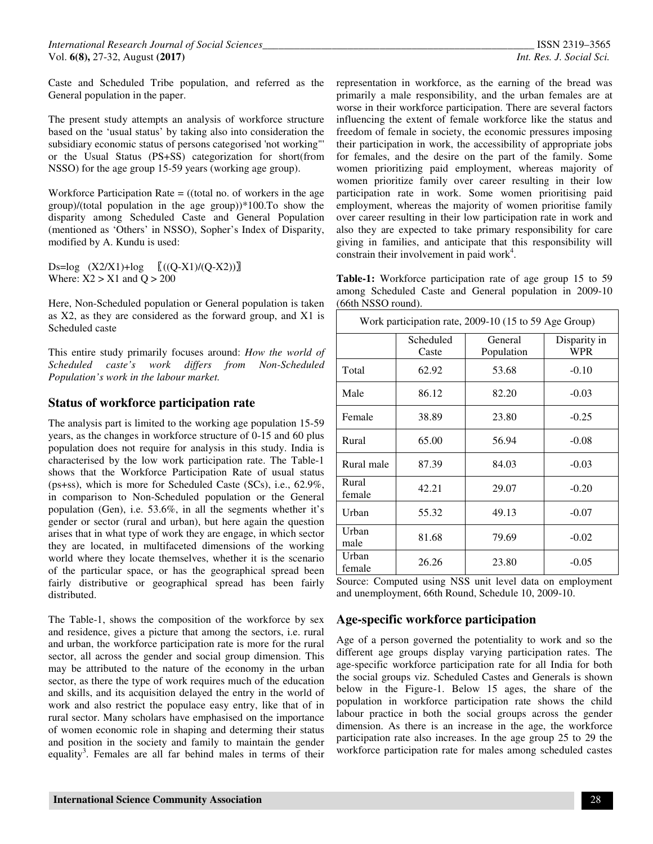Caste and Scheduled Tribe population, and referred as the General population in the paper.

The present study attempts an analysis of workforce structure based on the 'usual status' by taking also into consideration the subsidiary economic status of persons categorised 'not working"' or the Usual Status (PS+SS) categorization for short(from NSSO) for the age group 15-59 years (working age group).

Workforce Participation Rate  $=$  ((total no. of workers in the age group)/(total population in the age group))\*100.To show the disparity among Scheduled Caste and General Population (mentioned as 'Others' in NSSO), Sopher's Index of Disparity, modified by A. Kundu is used:

Ds=log  $(X2/X1)+log$   $((Q-X1)/(Q-X2))$ Where:  $X2 > X1$  and  $Q > 200$ 

Here, Non-Scheduled population or General population is taken as X2, as they are considered as the forward group, and X1 is Scheduled caste

This entire study primarily focuses around: *How the world of Scheduled caste's work differs from Non-Scheduled Population's work in the labour market.* 

#### **Status of workforce participation rate**

The analysis part is limited to the working age population 15-59 years, as the changes in workforce structure of 0-15 and 60 plus population does not require for analysis in this study. India is characterised by the low work participation rate. The Table-1 shows that the Workforce Participation Rate of usual status (ps+ss), which is more for Scheduled Caste (SCs), i.e., 62.9%, in comparison to Non-Scheduled population or the General population (Gen), i.e. 53.6%, in all the segments whether it's gender or sector (rural and urban), but here again the question arises that in what type of work they are engage, in which sector they are located, in multifaceted dimensions of the working world where they locate themselves, whether it is the scenario of the particular space, or has the geographical spread been fairly distributive or geographical spread has been fairly distributed.

The Table-1, shows the composition of the workforce by sex and residence, gives a picture that among the sectors, i.e. rural and urban, the workforce participation rate is more for the rural sector, all across the gender and social group dimension. This may be attributed to the nature of the economy in the urban sector, as there the type of work requires much of the education and skills, and its acquisition delayed the entry in the world of work and also restrict the populace easy entry, like that of in rural sector. Many scholars have emphasised on the importance of women economic role in shaping and determing their status and position in the society and family to maintain the gender equality<sup>3</sup>. Females are all far behind males in terms of their

representation in workforce, as the earning of the bread was primarily a male responsibility, and the urban females are at worse in their workforce participation. There are several factors influencing the extent of female workforce like the status and freedom of female in society, the economic pressures imposing their participation in work, the accessibility of appropriate jobs for females, and the desire on the part of the family. Some women prioritizing paid employment, whereas majority of women prioritize family over career resulting in their low participation rate in work. Some women prioritising paid employment, whereas the majority of women prioritise family over career resulting in their low participation rate in work and also they are expected to take primary responsibility for care giving in families, and anticipate that this responsibility will constrain their involvement in paid work<sup>4</sup>.

**Table-1:** Workforce participation rate of age group 15 to 59 among Scheduled Caste and General population in 2009-10 (66th NSSO round).

| Work participation rate, 2009-10 (15 to 59 Age Group) |                    |                       |                            |  |  |
|-------------------------------------------------------|--------------------|-----------------------|----------------------------|--|--|
|                                                       | Scheduled<br>Caste | General<br>Population | Disparity in<br><b>WPR</b> |  |  |
| Total                                                 | 62.92              | 53.68                 | $-0.10$                    |  |  |
| Male                                                  | 86.12              | 82.20                 | $-0.03$                    |  |  |
| Female                                                | 38.89              | 23.80                 | $-0.25$                    |  |  |
| Rural                                                 | 65.00              | 56.94                 | $-0.08$                    |  |  |
| Rural male                                            | 87.39              | 84.03                 | $-0.03$                    |  |  |
| Rural<br>female                                       | 42.21              | 29.07                 | $-0.20$                    |  |  |
| Urban                                                 | 55.32              | 49.13                 | $-0.07$                    |  |  |
| Urban<br>male                                         | 81.68              | 79.69                 | $-0.02$                    |  |  |
| Urban<br>female                                       | 26.26              | 23.80                 | $-0.05$                    |  |  |

Source: Computed using NSS unit level data on employment and unemployment, 66th Round, Schedule 10, 2009-10.

#### **Age-specific workforce participation**

Age of a person governed the potentiality to work and so the different age groups display varying participation rates. The age-specific workforce participation rate for all India for both the social groups viz. Scheduled Castes and Generals is shown below in the Figure-1. Below 15 ages, the share of the population in workforce participation rate shows the child labour practice in both the social groups across the gender dimension. As there is an increase in the age, the workforce participation rate also increases. In the age group 25 to 29 the workforce participation rate for males among scheduled castes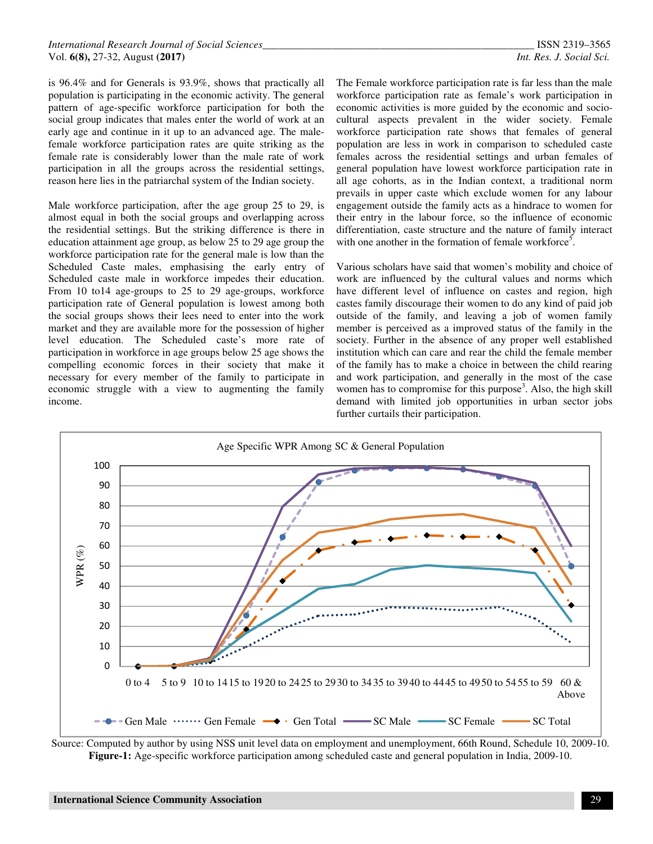is 96.4% and for Generals is 93.9%, shows that practically all population is participating in the economic activity. The general pattern of age-specific workforce participation for both the social group indicates that males enter the world of work at an early age and continue in it up to an advanced age. The malefemale workforce participation rates are quite striking as the female rate is considerably lower than the male rate of work participation in all the groups across the residential settings, reason here lies in the patriarchal system of the Indian society.

Male workforce participation, after the age group 25 to 29, is almost equal in both the social groups and overlapping across the residential settings. But the striking difference is there in education attainment age group, as below 25 to 29 age group the workforce participation rate for the general male is low than the Scheduled Caste males, emphasising the early entry of Scheduled caste male in workforce impedes their education. From 10 to14 age-groups to 25 to 29 age-groups, workforce participation rate of General population is lowest among both the social groups shows their lees need to enter into the work market and they are available more for the possession of higher level education. The Scheduled caste's more rate of participation in workforce in age groups below 25 age shows the compelling economic forces in their society that make it necessary for every member of the family to participate in economic struggle with a view to augmenting the family income.

The Female workforce participation rate is far less than the male workforce participation rate as female's work participation in economic activities is more guided by the economic and sociocultural aspects prevalent in the wider society. Female workforce participation rate shows that females of general population are less in work in comparison to scheduled caste females across the residential settings and urban females of general population have lowest workforce participation rate in all age cohorts, as in the Indian context, a traditional norm prevails in upper caste which exclude women for any labour engagement outside the family acts as a hindrace to women for their entry in the labour force, so the influence of economic differentiation, caste structure and the nature of family interact with one another in the formation of female workforce<sup>5</sup>.

Various scholars have said that women's mobility and choice of work are influenced by the cultural values and norms which have different level of influence on castes and region, high castes family discourage their women to do any kind of paid job outside of the family, and leaving a job of women family member is perceived as a improved status of the family in the society. Further in the absence of any proper well established institution which can care and rear the child the female member of the family has to make a choice in between the child rearing and work participation, and generally in the most of the case women has to compromise for this purpose<sup>3</sup>. Also, the high skill demand with limited job opportunities in urban sector jobs further curtails their participation.



Source: Computed by author by using NSS unit level data on employment and unemployment, 66th Round, Schedule 10, 2009-10. **Figure-1:** Age-specific workforce participation among scheduled caste and general population in India, 2009-10.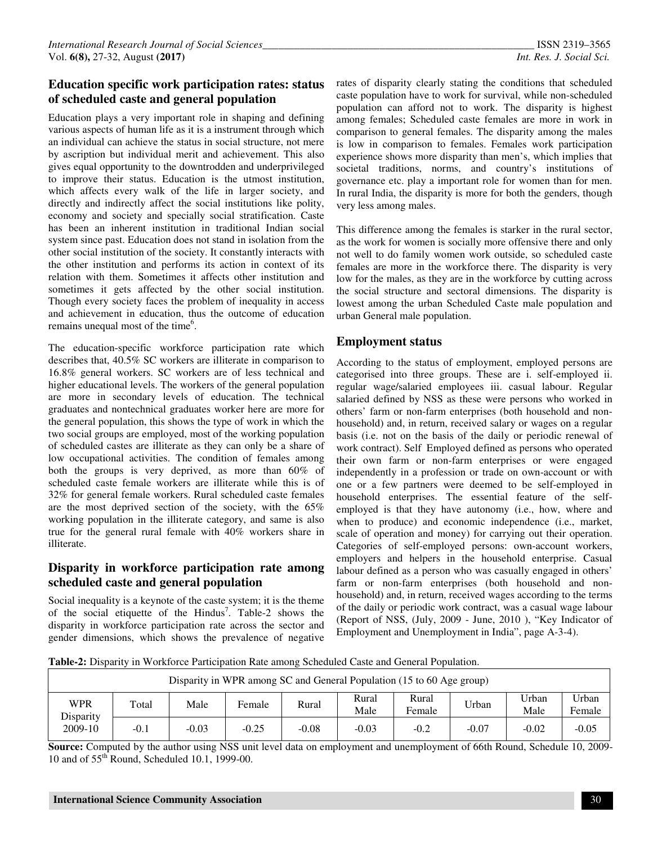## **Education specific work participation rates: status of scheduled caste and general population**

Education plays a very important role in shaping and defining various aspects of human life as it is a instrument through which an individual can achieve the status in social structure, not mere by ascription but individual merit and achievement. This also gives equal opportunity to the downtrodden and underprivileged to improve their status. Education is the utmost institution, which affects every walk of the life in larger society, and directly and indirectly affect the social institutions like polity, economy and society and specially social stratification. Caste has been an inherent institution in traditional Indian social system since past. Education does not stand in isolation from the other social institution of the society. It constantly interacts with the other institution and performs its action in context of its relation with them. Sometimes it affects other institution and sometimes it gets affected by the other social institution. Though every society faces the problem of inequality in access and achievement in education, thus the outcome of education remains unequal most of the time<sup>6</sup>.

The education-specific workforce participation rate which describes that, 40.5% SC workers are illiterate in comparison to 16.8% general workers. SC workers are of less technical and higher educational levels. The workers of the general population are more in secondary levels of education. The technical graduates and nontechnical graduates worker here are more for the general population, this shows the type of work in which the two social groups are employed, most of the working population of scheduled castes are illiterate as they can only be a share of low occupational activities. The condition of females among both the groups is very deprived, as more than 60% of scheduled caste female workers are illiterate while this is of 32% for general female workers. Rural scheduled caste females are the most deprived section of the society, with the 65% working population in the illiterate category, and same is also true for the general rural female with 40% workers share in illiterate.

## **Disparity in workforce participation rate among scheduled caste and general population**

Social inequality is a keynote of the caste system; it is the theme of the social etiquette of the Hindus<sup>7</sup>. Table-2 shows the disparity in workforce participation rate across the sector and gender dimensions, which shows the prevalence of negative rates of disparity clearly stating the conditions that scheduled caste population have to work for survival, while non-scheduled population can afford not to work. The disparity is highest among females; Scheduled caste females are more in work in comparison to general females. The disparity among the males is low in comparison to females. Females work participation experience shows more disparity than men's, which implies that societal traditions, norms, and country's institutions of governance etc. play a important role for women than for men. In rural India, the disparity is more for both the genders, though very less among males.

This difference among the females is starker in the rural sector, as the work for women is socially more offensive there and only not well to do family women work outside, so scheduled caste females are more in the workforce there. The disparity is very low for the males, as they are in the workforce by cutting across the social structure and sectoral dimensions. The disparity is lowest among the urban Scheduled Caste male population and urban General male population.

#### **Employment status**

According to the status of employment, employed persons are categorised into three groups. These are i. self-employed ii. regular wage/salaried employees iii. casual labour. Regular salaried defined by NSS as these were persons who worked in others' farm or non-farm enterprises (both household and nonhousehold) and, in return, received salary or wages on a regular basis (i.e. not on the basis of the daily or periodic renewal of work contract). Self Employed defined as persons who operated their own farm or non-farm enterprises or were engaged independently in a profession or trade on own-account or with one or a few partners were deemed to be self-employed in household enterprises. The essential feature of the selfemployed is that they have autonomy (i.e., how, where and when to produce) and economic independence (i.e., market, scale of operation and money) for carrying out their operation. Categories of self-employed persons: own-account workers, employers and helpers in the household enterprise. Casual labour defined as a person who was casually engaged in others' farm or non-farm enterprises (both household and nonhousehold) and, in return, received wages according to the terms of the daily or periodic work contract, was a casual wage labour (Report of NSS, (July, 2009 - June, 2010 ), "Key Indicator of Employment and Unemployment in India", page A-3-4).

**Table-2:** Disparity in Workforce Participation Rate among Scheduled Caste and General Population.

| Disparity in WPR among SC and General Population (15 to 60 Age group) |        |         |         |         |               |                 |         |               |                 |
|-----------------------------------------------------------------------|--------|---------|---------|---------|---------------|-----------------|---------|---------------|-----------------|
| WPR<br>Total<br>Disparity                                             |        | Male    | Female  | Rural   | Rural<br>Male | Rural<br>Female | Urban   | Urban<br>Male | Urban<br>Female |
| 2009-10                                                               | $-0.1$ | $-0.03$ | $-0.25$ | $-0.08$ | $-0.03$       | $-0.2$          | $-0.07$ | $-0.02$       | $-0.05$         |

**Source:** Computed by the author using NSS unit level data on employment and unemployment of 66th Round, Schedule 10, 2009- 10 and of 55th Round, Scheduled 10.1, 1999-00.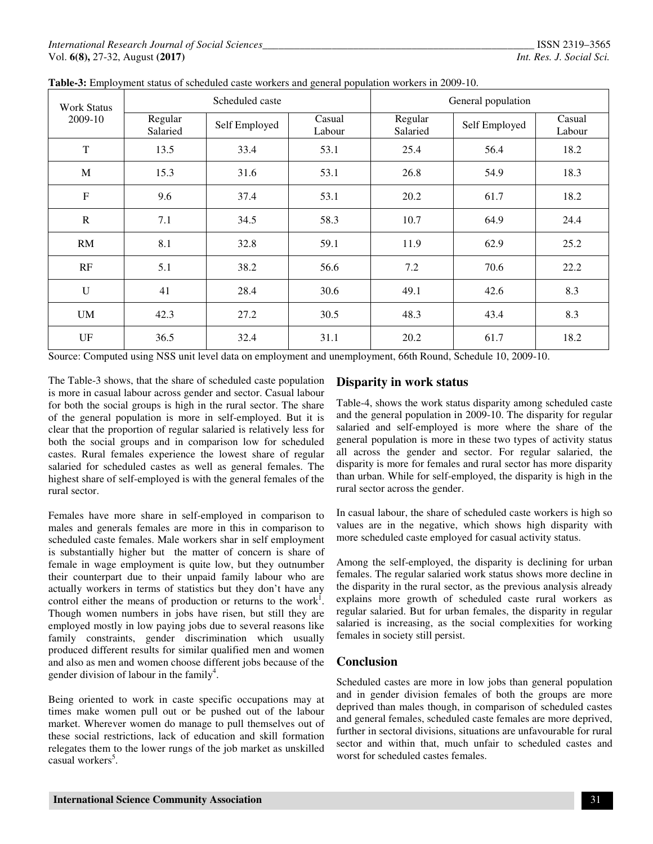| <b>Work Status</b> | Scheduled caste     |               |                  | General population  |               |                  |  |
|--------------------|---------------------|---------------|------------------|---------------------|---------------|------------------|--|
| 2009-10            | Regular<br>Salaried | Self Employed | Casual<br>Labour | Regular<br>Salaried | Self Employed | Casual<br>Labour |  |
| T                  | 13.5                | 33.4          | 53.1             | 25.4                | 56.4          | 18.2             |  |
| M                  | 15.3                | 31.6          | 53.1             | 26.8                | 54.9          | 18.3             |  |
| $\overline{F}$     | 9.6                 | 37.4          | 53.1             | 20.2                | 61.7          | 18.2             |  |
| $\mathbf R$        | 7.1                 | 34.5          | 58.3             | 10.7                | 64.9          | 24.4             |  |
| <b>RM</b>          | 8.1                 | 32.8          | 59.1             | 11.9                | 62.9          | 25.2             |  |
| RF                 | 5.1                 | 38.2          | 56.6             | 7.2                 | 70.6          | 22.2             |  |
| U                  | 41                  | 28.4          | 30.6             | 49.1                | 42.6          | 8.3              |  |
| <b>UM</b>          | 42.3                | 27.2          | 30.5             | 48.3                | 43.4          | 8.3              |  |
| UF                 | 36.5                | 32.4          | 31.1             | 20.2                | 61.7          | 18.2             |  |

**Table-3:** Employment status of scheduled caste workers and general population workers in 2009-10.

Source: Computed using NSS unit level data on employment and unemployment, 66th Round, Schedule 10, 2009-10.

The Table-3 shows, that the share of scheduled caste population is more in casual labour across gender and sector. Casual labour for both the social groups is high in the rural sector. The share of the general population is more in self-employed. But it is clear that the proportion of regular salaried is relatively less for both the social groups and in comparison low for scheduled castes. Rural females experience the lowest share of regular salaried for scheduled castes as well as general females. The highest share of self-employed is with the general females of the rural sector.

Females have more share in self-employed in comparison to males and generals females are more in this in comparison to scheduled caste females. Male workers shar in self employment is substantially higher but the matter of concern is share of female in wage employment is quite low, but they outnumber their counterpart due to their unpaid family labour who are actually workers in terms of statistics but they don't have any control either the means of production or returns to the work<sup>1</sup>. Though women numbers in jobs have risen, but still they are employed mostly in low paying jobs due to several reasons like family constraints, gender discrimination which usually produced different results for similar qualified men and women and also as men and women choose different jobs because of the gender division of labour in the family<sup>4</sup>.

Being oriented to work in caste specific occupations may at times make women pull out or be pushed out of the labour market. Wherever women do manage to pull themselves out of these social restrictions, lack of education and skill formation relegates them to the lower rungs of the job market as unskilled casual workers<sup>5</sup>.

## **Disparity in work status**

Table-4, shows the work status disparity among scheduled caste and the general population in 2009-10. The disparity for regular salaried and self-employed is more where the share of the general population is more in these two types of activity status all across the gender and sector. For regular salaried, the disparity is more for females and rural sector has more disparity than urban. While for self-employed, the disparity is high in the rural sector across the gender.

In casual labour, the share of scheduled caste workers is high so values are in the negative, which shows high disparity with more scheduled caste employed for casual activity status.

Among the self-employed, the disparity is declining for urban females. The regular salaried work status shows more decline in the disparity in the rural sector, as the previous analysis already explains more growth of scheduled caste rural workers as regular salaried. But for urban females, the disparity in regular salaried is increasing, as the social complexities for working females in society still persist.

## **Conclusion**

Scheduled castes are more in low jobs than general population and in gender division females of both the groups are more deprived than males though, in comparison of scheduled castes and general females, scheduled caste females are more deprived, further in sectoral divisions, situations are unfavourable for rural sector and within that, much unfair to scheduled castes and worst for scheduled castes females.